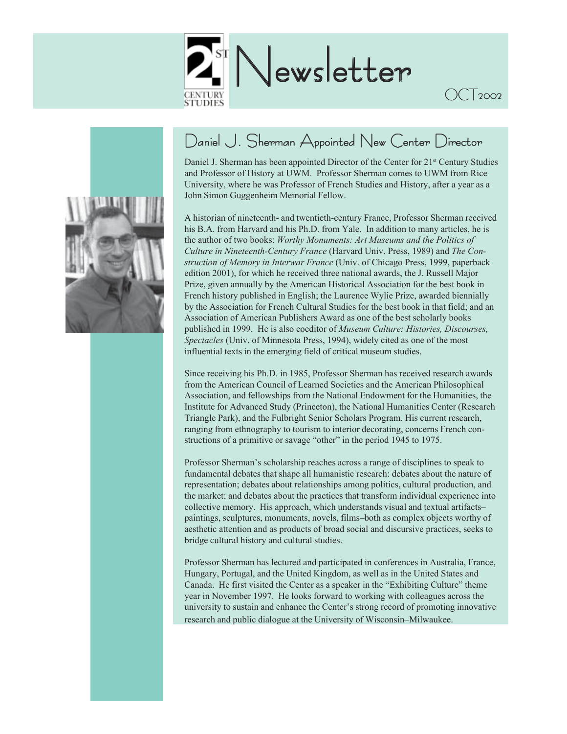



# Daniel J. Sherman Appointed New Center Director

Daniel J. Sherman has been appointed Director of the Center for 21<sup>st</sup> Century Studies and Professor of History at UWM. Professor Sherman comes to UWM from Rice University, where he was Professor of French Studies and History, after a year as a John Simon Guggenheim Memorial Fellow.

OCT<sub>2002</sub>

A historian of nineteenth- and twentieth-century France, Professor Sherman received his B.A. from Harvard and his Ph.D. from Yale. In addition to many articles, he is the author of two books: *Worthy Monuments: Art Museums and the Politics of Culture in Nineteenth-Century France* (Harvard Univ. Press, 1989) and *The Construction of Memory in Interwar France* (Univ. of Chicago Press, 1999, paperback edition 2001), for which he received three national awards, the J. Russell Major Prize, given annually by the American Historical Association for the best book in French history published in English; the Laurence Wylie Prize, awarded biennially by the Association for French Cultural Studies for the best book in that field; and an Association of American Publishers Award as one of the best scholarly books published in 1999. He is also coeditor of *Museum Culture: Histories, Discourses, Spectacles* (Univ. of Minnesota Press, 1994), widely cited as one of the most influential texts in the emerging field of critical museum studies.

Since receiving his Ph.D. in 1985, Professor Sherman has received research awards from the American Council of Learned Societies and the American Philosophical Association, and fellowships from the National Endowment for the Humanities, the Institute for Advanced Study (Princeton), the National Humanities Center (Research Triangle Park), and the Fulbright Senior Scholars Program. His current research, ranging from ethnography to tourism to interior decorating, concerns French constructions of a primitive or savage "other" in the period 1945 to 1975.

Professor Sherman's scholarship reaches across a range of disciplines to speak to fundamental debates that shape all humanistic research: debates about the nature of representation; debates about relationships among politics, cultural production, and the market; and debates about the practices that transform individual experience into collective memory. His approach, which understands visual and textual artifacts– paintings, sculptures, monuments, novels, films–both as complex objects worthy of aesthetic attention and as products of broad social and discursive practices, seeks to bridge cultural history and cultural studies.

Professor Sherman has lectured and participated in conferences in Australia, France, Hungary, Portugal, and the United Kingdom, as well as in the United States and Canada. He first visited the Center as a speaker in the "Exhibiting Culture" theme year in November 1997. He looks forward to working with colleagues across the university to sustain and enhance the Center's strong record of promoting innovative research and public dialogue at the University of Wisconsin–Milwaukee.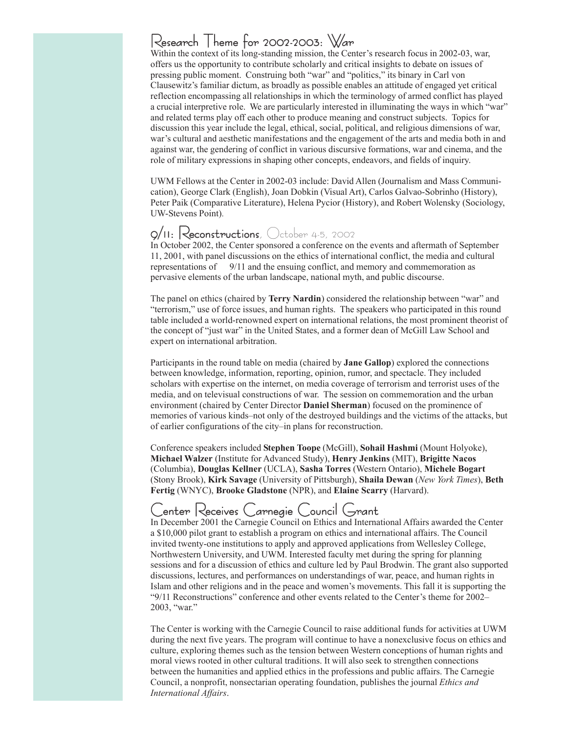## Research Theme for 2002-2003: War

Within the context of its long-standing mission, the Center's research focus in 2002-03, war, offers us the opportunity to contribute scholarly and critical insights to debate on issues of pressing public moment. Construing both "war" and "politics," its binary in Carl von Clausewitz's familiar dictum, as broadly as possible enables an attitude of engaged yet critical reflection encompassing all relationships in which the terminology of armed conflict has played a crucial interpretive role. We are particularly interested in illuminating the ways in which "war" and related terms play off each other to produce meaning and construct subjects. Topics for discussion this year include the legal, ethical, social, political, and religious dimensions of war, war's cultural and aesthetic manifestations and the engagement of the arts and media both in and against war, the gendering of conflict in various discursive formations, war and cinema, and the role of military expressions in shaping other concepts, endeavors, and fields of inquiry.

UWM Fellows at the Center in 2002-03 include: David Allen (Journalism and Mass Communication), George Clark (English), Joan Dobkin (Visual Art), Carlos Galvao-Sobrinho (History), Peter Paik (Comparative Literature), Helena Pycior (History), and Robert Wolensky (Sociology, UW-Stevens Point).

## 9/11: Reconstructions,  $\bigcirc$ ctober 4-5, 2002

In October 2002, the Center sponsored a conference on the events and aftermath of September 11, 2001, with panel discussions on the ethics of international conflict, the media and cultural representations of 9/11 and the ensuing conflict, and memory and commemoration as pervasive elements of the urban landscape, national myth, and public discourse.

The panel on ethics (chaired by **Terry Nardin**) considered the relationship between "war" and "terrorism," use of force issues, and human rights. The speakers who participated in this round table included a world-renowned expert on international relations, the most prominent theorist of the concept of "just war" in the United States, and a former dean of McGill Law School and expert on international arbitration.

Participants in the round table on media (chaired by **Jane Gallop**) explored the connections between knowledge, information, reporting, opinion, rumor, and spectacle. They included scholars with expertise on the internet, on media coverage of terrorism and terrorist uses of the media, and on televisual constructions of war. The session on commemoration and the urban environment (chaired by Center Director **Daniel Sherman**) focused on the prominence of memories of various kinds–not only of the destroyed buildings and the victims of the attacks, but of earlier configurations of the city–in plans for reconstruction.

Conference speakers included **Stephen Toope** (McGill), **Sohail Hashmi** (Mount Holyoke), **Michael Walzer** (Institute for Advanced Study), **Henry Jenkins** (MIT), **Brigitte Nacos** (Columbia), **Douglas Kellner** (UCLA), **Sasha Torres** (Western Ontario), **Michele Bogart** (Stony Brook), **Kirk Savage** (University of Pittsburgh), **Shaila Dewan** (*New York Times*), **Beth Fertig** (WNYC), **Brooke Gladstone** (NPR), and **Elaine Scarry** (Harvard).

# Center Receives Carnegie Council Grant

In December 2001 the Carnegie Council on Ethics and International Affairs awarded the Center a \$10,000 pilot grant to establish a program on ethics and international affairs. The Council invited twenty-one institutions to apply and approved applications from Wellesley College, Northwestern University, and UWM. Interested faculty met during the spring for planning sessions and for a discussion of ethics and culture led by Paul Brodwin. The grant also supported discussions, lectures, and performances on understandings of war, peace, and human rights in Islam and other religions and in the peace and women's movements. This fall it is supporting the "9/11 Reconstructions" conference and other events related to the Center's theme for 2002– 2003, "war."

The Center is working with the Carnegie Council to raise additional funds for activities at UWM during the next five years. The program will continue to have a nonexclusive focus on ethics and culture, exploring themes such as the tension between Western conceptions of human rights and moral views rooted in other cultural traditions. It will also seek to strengthen connections between the humanities and applied ethics in the professions and public affairs. The Carnegie Council, a nonprofit, nonsectarian operating foundation, publishes the journal *Ethics and International Affairs*.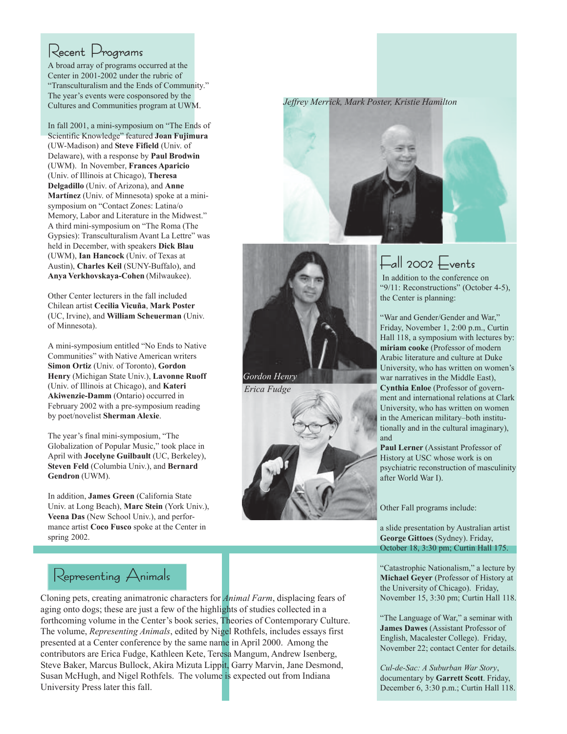## Recent Programs

A broad array of programs occurred at the Center in 2001-2002 under the rubric of "Transculturalism and the Ends of Community." The year's events were cosponsored by the Cultures and Communities program at UWM.

In fall 2001, a mini-symposium on "The Ends of Scientific Knowledge" featured **Joan Fujimura** (UW-Madison) and **Steve Fifield** (Univ. of Delaware), with a response by **Paul Brodwin** (UWM). In November, **Frances Aparicio** (Univ. of Illinois at Chicago), **Theresa Delgadillo** (Univ. of Arizona), and **Anne Martínez** (Univ. of Minnesota) spoke at a minisymposium on "Contact Zones: Latina/o Memory, Labor and Literature in the Midwest." A third mini-symposium on "The Roma (The Gypsies): Transculturalism Avant La Lettre" was held in December, with speakers **Dick Blau** (UWM), **Ian Hancock** (Univ. of Texas at Austin), **Charles Keil** (SUNY-Buffalo), and **Anya Verkhovskaya-Cohen** (Milwaukee).

Other Center lecturers in the fall included Chilean artist **Cecilia Vicuña**, **Mark Poster** (UC, Irvine), and **William Scheuerman** (Univ. of Minnesota).

A mini-symposium entitled "No Ends to Native Communities" with Native American writers **Simon Ortiz** (Univ. of Toronto), **Gordon Henry** (Michigan State Univ.), **Lavonne Ruoff** (Univ. of Illinois at Chicago), and **Kateri Akiwenzie-Damm** (Ontario) occurred in February 2002 with a pre-symposium reading by poet/novelist **Sherman Alexie**.

The year's final mini-symposium, "The Globalization of Popular Music," took place in April with **Jocelyne Guilbault** (UC, Berkeley), **Steven Feld** (Columbia Univ.), and **Bernard Gendron** (UWM).

In addition, **James Green** (California State Univ. at Long Beach), **Marc Stein** (York Univ.), **Veena Das** (New School Univ.), and performance artist **Coco Fusco** spoke at the Center in spring 2002.



*Erica Fudge*



*Jeffrey Merrick, Mark Poster, Kristie Hamilton*



# $F$ all 2002  $F$ vents

 In addition to the conference on "9/11: Reconstructions" (October 4-5), the Center is planning:

"War and Gender/Gender and War," Friday, November 1, 2:00 p.m., Curtin Hall 118, a symposium with lectures by: **miriam cooke** (Professor of modern Arabic literature and culture at Duke University, who has written on women's war narratives in the Middle East), **Cynthia Enloe** (Professor of government and international relations at Clark University, who has written on women in the American military–both institutionally and in the cultural imaginary), and

Paul Lerner (Assistant Professor of History at USC whose work is on psychiatric reconstruction of masculinity after World War I).

Other Fall programs include:

a slide presentation by Australian artist **George Gittoes** (Sydney). Friday, October 18, 3:30 pm; Curtin Hall 175.

"Catastrophic Nationalism," a lecture by **Michael Geyer** (Professor of History at the University of Chicago). Friday, November 15, 3:30 pm; Curtin Hall 118.

"The Language of War," a seminar with **James Dawes** (Assistant Professor of English, Macalester College). Friday, November 22; contact Center for details.

*Cul-de-Sac: A Suburban War Story*, documentary by **Garrett Scott**. Friday, December 6, 3:30 p.m.; Curtin Hall 118.

## Representing Animals

Cloning pets, creating animatronic characters for *Animal Farm*, displacing fears of aging onto dogs; these are just a few of the highlights of studies collected in a forthcoming volume in the Center's book series, Theories of Contemporary Culture. The volume, *Representing Animals*, edited by Nigel Rothfels, includes essays first presented at a Center conference by the same name in April 2000. Among the contributors are Erica Fudge, Kathleen Kete, Teresa Mangum, Andrew Isenberg, Steve Baker, Marcus Bullock, Akira Mizuta Lippit, Garry Marvin, Jane Desmond, Susan McHugh, and Nigel Rothfels. The volume is expected out from Indiana University Press later this fall.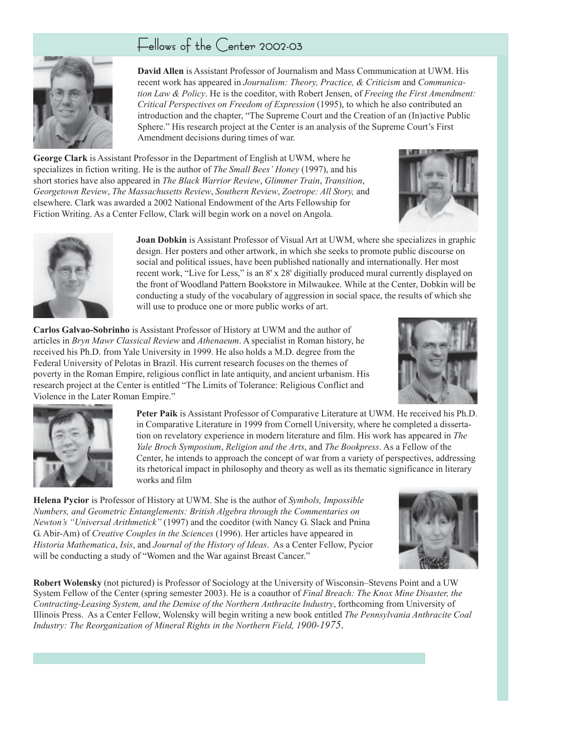## Fellows of the Center 2002-03



**David Allen** is Assistant Professor of Journalism and Mass Communication at UWM. His recent work has appeared in *Journalism: Theory, Practice, & Criticism* and *Communication Law & Policy*. He is the coeditor, with Robert Jensen, of *Freeing the First Amendment: Critical Perspectives on Freedom of Expression* (1995), to which he also contributed an introduction and the chapter, "The Supreme Court and the Creation of an (In)active Public Sphere." His research project at the Center is an analysis of the Supreme Court's First Amendment decisions during times of war.

**George Clark** is Assistant Professor in the Department of English at UWM, where he specializes in fiction writing. He is the author of *The Small Bees' Honey* (1997), and his short stories have also appeared in *The Black Warrior Review*, *Glimmer Train*, *Transition*, *Georgetown Review*, *The Massachusetts Review*, *Southern Review*, *Zoetrope: All Story,* and elsewhere. Clark was awarded a 2002 National Endowment of the Arts Fellowship for Fiction Writing. As a Center Fellow, Clark will begin work on a novel on Angola.





**Joan Dobkin** is Assistant Professor of Visual Art at UWM, where she specializes in graphic design. Her posters and other artwork, in which she seeks to promote public discourse on social and political issues, have been published nationally and internationally. Her most recent work, "Live for Less," is an 8' x 28' digitially produced mural currently displayed on the front of Woodland Pattern Bookstore in Milwaukee. While at the Center, Dobkin will be conducting a study of the vocabulary of aggression in social space, the results of which she will use to produce one or more public works of art.

**Carlos Galvao-Sobrinho** is Assistant Professor of History at UWM and the author of articles in *Bryn Mawr Classical Review* and *Athenaeum*. A specialist in Roman history, he received his Ph.D. from Yale University in 1999. He also holds a M.D. degree from the Federal University of Pelotas in Brazil. His current research focuses on the themes of poverty in the Roman Empire, religious conflict in late antiquity, and ancient urbanism. His research project at the Center is entitled "The Limits of Tolerance: Religious Conflict and Violence in the Later Roman Empire."





**Peter Paik** is Assistant Professor of Comparative Literature at UWM. He received his Ph.D. in Comparative Literature in 1999 from Cornell University, where he completed a dissertation on revelatory experience in modern literature and film. His work has appeared in *The Yale Broch Symposium*, *Religion and the Arts*, and *The Bookpress*. As a Fellow of the Center, he intends to approach the concept of war from a variety of perspectives, addressing its rhetorical impact in philosophy and theory as well as its thematic significance in literary works and film

**Helena Pycior** is Professor of History at UWM. She is the author of *Symbols, Impossible Numbers, and Geometric Entanglements: British Algebra through the Commentaries on Newton's "Universal Arithmetick"* (1997) and the coeditor (with Nancy G. Slack and Pnina G. Abir-Am) of *Creative Couples in the Sciences* (1996). Her articles have appeared in *Historia Mathematica*, *Isis*, and *Journal of the History of Ideas*. As a Center Fellow, Pycior will be conducting a study of "Women and the War against Breast Cancer."